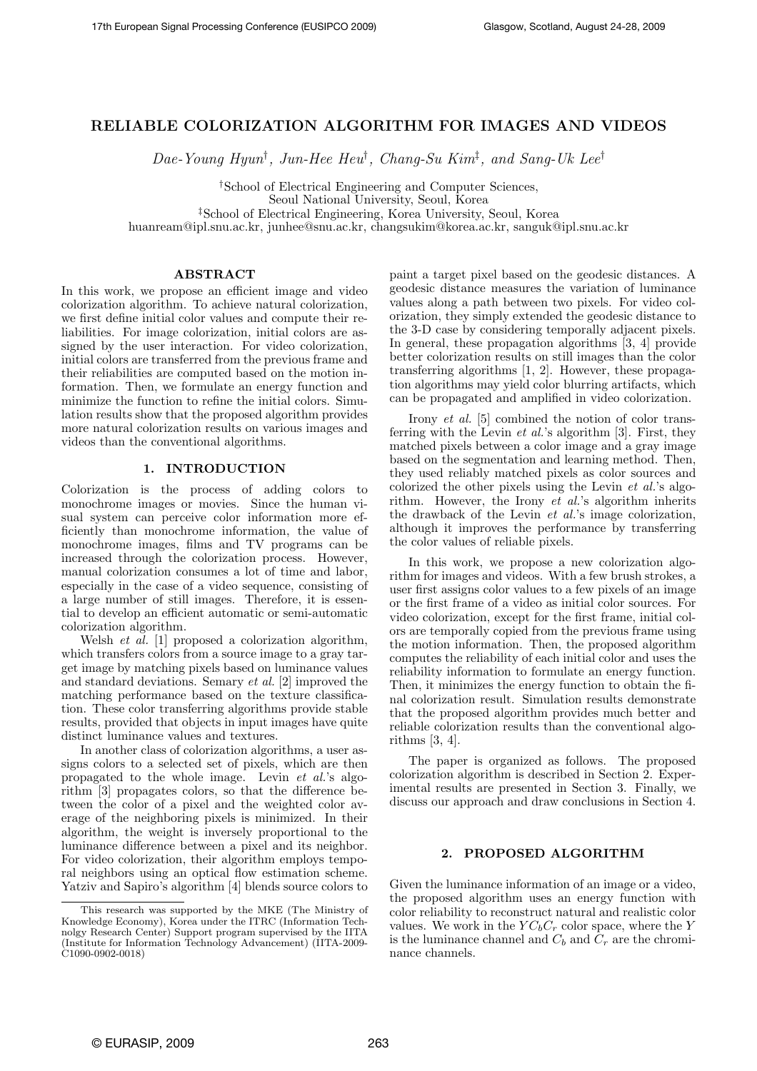# RELIABLE COLORIZATION ALGORITHM FOR IMAGES AND VIDEOS

Dae-Young Hyun† , Jun-Hee Heu† , Chang-Su Kim‡ , and Sang-Uk Lee†

†School of Electrical Engineering and Computer Sciences, Seoul National University, Seoul, Korea ‡School of Electrical Engineering, Korea University, Seoul, Korea

huanream@ipl.snu.ac.kr, junhee@snu.ac.kr, changsukim@korea.ac.kr, sanguk@ipl.snu.ac.kr

# **ABSTRACT**

In this work, we propose an efficient image and video colorization algorithm. To achieve natural colorization, we first define initial color values and compute their reliabilities. For image colorization, initial colors are assigned by the user interaction. For video colorization, initial colors are transferred from the previous frame and their reliabilities are computed based on the motion information. Then, we formulate an energy function and minimize the function to refine the initial colors. Simulation results show that the proposed algorithm provides more natural colorization results on various images and videos than the conventional algorithms.

# 1. INTRODUCTION

Colorization is the process of adding colors to monochrome images or movies. Since the human visual system can perceive color information more efficiently than monochrome information, the value of monochrome images, films and TV programs can be increased through the colorization process. However, manual colorization consumes a lot of time and labor, especially in the case of a video sequence, consisting of a large number of still images. Therefore, it is essential to develop an efficient automatic or semi-automatic colorization algorithm.

Welsh *et al.* [1] proposed a colorization algorithm, which transfers colors from a source image to a gray target image by matching pixels based on luminance values and standard deviations. Semary et al. [2] improved the matching performance based on the texture classification. These color transferring algorithms provide stable results, provided that objects in input images have quite distinct luminance values and textures.

In another class of colorization algorithms, a user assigns colors to a selected set of pixels, which are then propagated to the whole image. Levin et al.'s algorithm [3] propagates colors, so that the difference between the color of a pixel and the weighted color average of the neighboring pixels is minimized. In their algorithm, the weight is inversely proportional to the luminance difference between a pixel and its neighbor. For video colorization, their algorithm employs temporal neighbors using an optical flow estimation scheme. Yatziv and Sapiro's algorithm [4] blends source colors to paint a target pixel based on the geodesic distances. A geodesic distance measures the variation of luminance values along a path between two pixels. For video colorization, they simply extended the geodesic distance to the 3-D case by considering temporally adjacent pixels. In general, these propagation algorithms [3, 4] provide better colorization results on still images than the color transferring algorithms [1, 2]. However, these propagation algorithms may yield color blurring artifacts, which can be propagated and amplified in video colorization.

Irony et al. [5] combined the notion of color transferring with the Levin et al.'s algorithm [3]. First, they matched pixels between a color image and a gray image based on the segmentation and learning method. Then, they used reliably matched pixels as color sources and colorized the other pixels using the Levin et al.'s algorithm. However, the Irony et al.'s algorithm inherits the drawback of the Levin et al.'s image colorization, although it improves the performance by transferring the color values of reliable pixels.

In this work, we propose a new colorization algorithm for images and videos. With a few brush strokes, a user first assigns color values to a few pixels of an image or the first frame of a video as initial color sources. For video colorization, except for the first frame, initial colors are temporally copied from the previous frame using the motion information. Then, the proposed algorithm computes the reliability of each initial color and uses the reliability information to formulate an energy function. Then, it minimizes the energy function to obtain the final colorization result. Simulation results demonstrate that the proposed algorithm provides much better and reliable colorization results than the conventional algorithms [3, 4].

The paper is organized as follows. The proposed colorization algorithm is described in Section 2. Experimental results are presented in Section 3. Finally, we discuss our approach and draw conclusions in Section 4.

# 2. PROPOSED ALGORITHM

Given the luminance information of an image or a video, the proposed algorithm uses an energy function with color reliability to reconstruct natural and realistic color values. We work in the  $YC_bC_r$  color space, where the Y is the luminance channel and  $C_b$  and  $C_r$  are the chrominance channels.

This research was supported by the MKE (The Ministry of Knowledge Economy), Korea under the ITRC (Information Technolgy Research Center) Support program supervised by the IITA (Institute for Information Technology Advancement) (IITA-2009- C1090-0902-0018)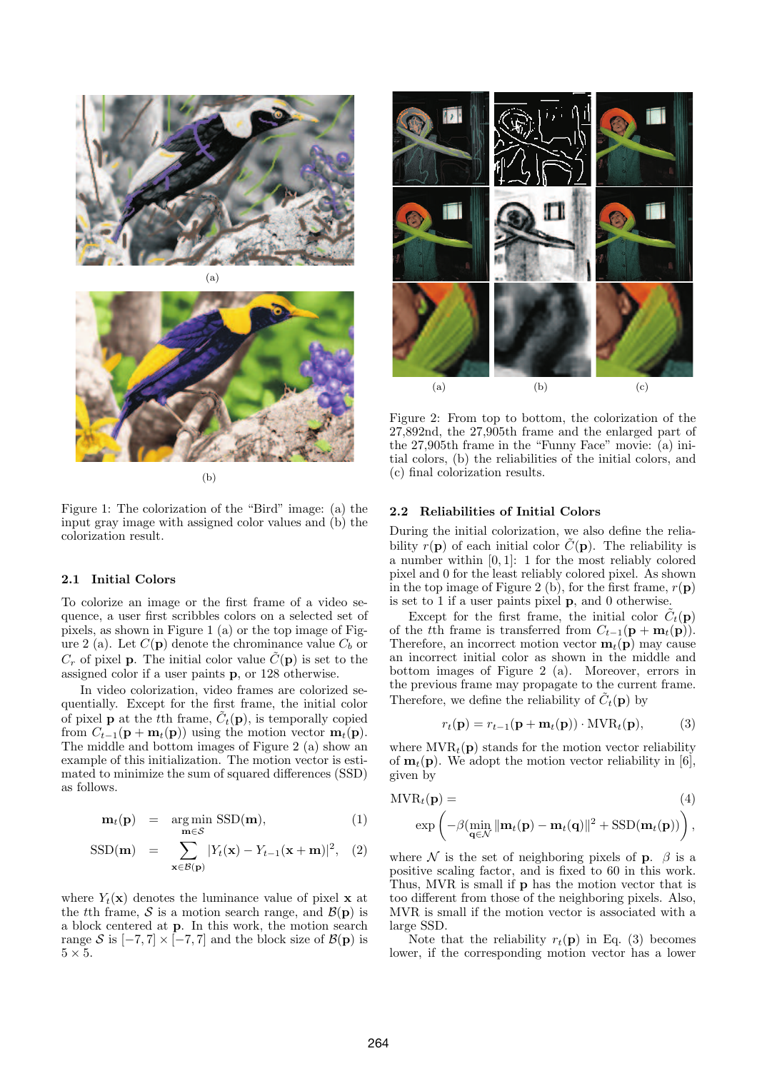



(b)

Figure 1: The colorization of the "Bird" image: (a) the input gray image with assigned color values and (b) the colorization result.

# 2.1 Initial Colors

To colorize an image or the first frame of a video sequence, a user first scribbles colors on a selected set of pixels, as shown in Figure 1 (a) or the top image of Figure 2 (a). Let  $C(\mathbf{p})$  denote the chrominance value  $C_b$  or  $C_r$  of pixel **p**. The initial color value  $\tilde{C}(\mathbf{p})$  is set to the assigned color if a user paints p, or 128 otherwise.

In video colorization, video frames are colorized sequentially. Except for the first frame, the initial color of pixel **p** at the t<sup>th</sup> frame,  $\tilde{C}_t(\mathbf{p})$ , is temporally copied from  $C_{t-1}(\mathbf{p} + \mathbf{m}_t(\mathbf{p}))$  using the motion vector  $\mathbf{m}_t(\mathbf{p})$ . The middle and bottom images of Figure 2 (a) show an example of this initialization. The motion vector is estimated to minimize the sum of squared differences (SSD) as follows.

$$
\mathbf{m}_t(\mathbf{p}) = \underset{\mathbf{m} \in \mathcal{S}}{\arg \min} \text{SSD}(\mathbf{m}), \tag{1}
$$

$$
\text{SSD}(\mathbf{m}) = \sum_{\mathbf{x} \in \mathcal{B}(\mathbf{p})}^{\mathbf{m} \in \mathcal{O}} |Y_t(\mathbf{x}) - Y_{t-1}(\mathbf{x} + \mathbf{m})|^2, \quad (2)
$$

where  $Y_t(\mathbf{x})$  denotes the luminance value of pixel **x** at the tth frame, S is a motion search range, and  $\mathcal{B}(\mathbf{p})$  is a block centered at p. In this work, the motion search range S is  $[-7, 7] \times [-7, 7]$  and the block size of  $\mathcal{B}(\mathbf{p})$  is  $5 \times 5$ .



Figure 2: From top to bottom, the colorization of the 27,892nd, the 27,905th frame and the enlarged part of the 27,905th frame in the "Funny Face" movie: (a) initial colors, (b) the reliabilities of the initial colors, and (c) final colorization results.

### 2.2 Reliabilities of Initial Colors

During the initial colorization, we also define the reliability  $r(\mathbf{p})$  of each initial color  $\tilde{C}(\mathbf{p})$ . The reliability is a number within [0, 1]: 1 for the most reliably colored pixel and 0 for the least reliably colored pixel. As shown in the top image of Figure 2 (b), for the first frame,  $r(\mathbf{p})$ is set to 1 if a user paints pixel p, and 0 otherwise.

Except for the first frame, the initial color  $\tilde{C}_t(\mathbf{p})$ of the tth frame is transferred from  $C_{t-1}(\mathbf{p} + \mathbf{m}_t(\mathbf{p}))$ . Therefore, an incorrect motion vector  $\mathbf{m}_t(\mathbf{p})$  may cause an incorrect initial color as shown in the middle and bottom images of Figure 2 (a). Moreover, errors in the previous frame may propagate to the current frame. Therefore, we define the reliability of  $\tilde{C}_t(\mathbf{p})$  by

$$
r_t(\mathbf{p}) = r_{t-1}(\mathbf{p} + \mathbf{m}_t(\mathbf{p})) \cdot \text{MVR}_t(\mathbf{p}), \tag{3}
$$

where  $MVR_t(\mathbf{p})$  stands for the motion vector reliability of  $\mathbf{m}_t(\mathbf{p})$ . We adopt the motion vector reliability in [6], given by

$$
MVR_t(\mathbf{p}) = \qquad (4)
$$
  
 
$$
\exp\left(-\beta(\min_{\mathbf{q}\in\mathcal{N}}\|\mathbf{m}_t(\mathbf{p}) - \mathbf{m}_t(\mathbf{q})\|^2 + \text{SSD}(\mathbf{m}_t(\mathbf{p}))\right),
$$

where  $\mathcal N$  is the set of neighboring pixels of **p**.  $\beta$  is a positive scaling factor, and is fixed to 60 in this work. Thus, MVR is small if **p** has the motion vector that is too different from those of the neighboring pixels. Also, MVR is small if the motion vector is associated with a large SSD.

Note that the reliability  $r_t(\mathbf{p})$  in Eq. (3) becomes lower, if the corresponding motion vector has a lower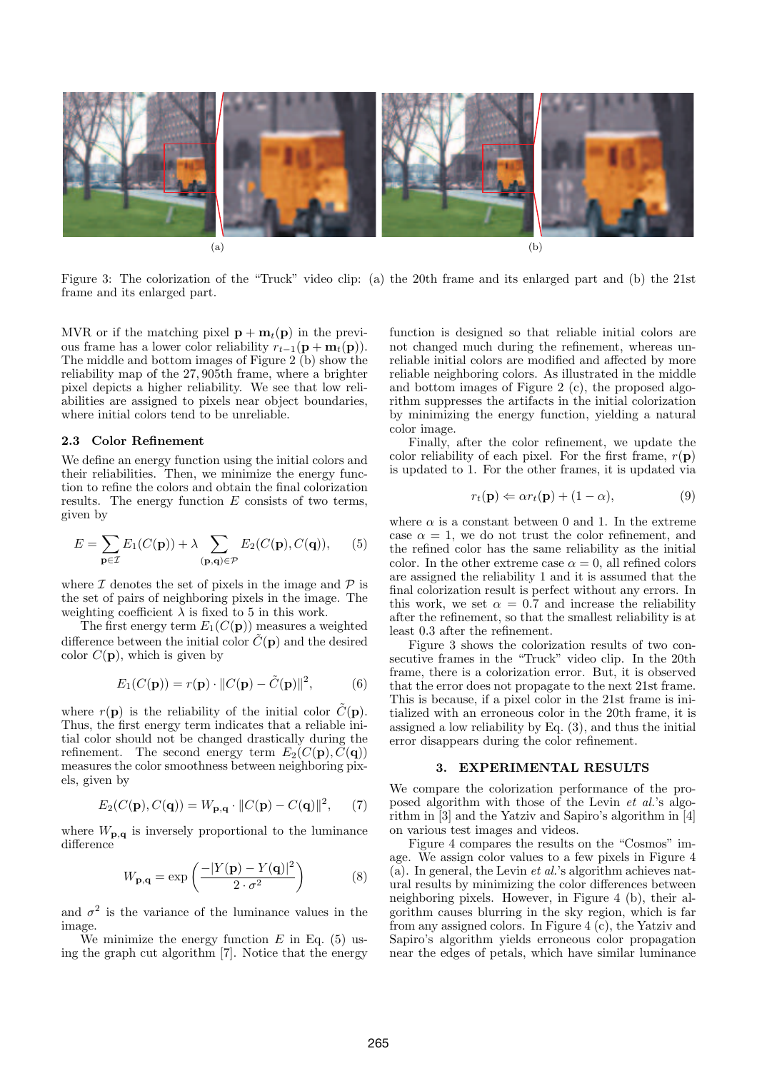

Figure 3: The colorization of the "Truck" video clip: (a) the 20th frame and its enlarged part and (b) the 21st frame and its enlarged part.

MVR or if the matching pixel  $\mathbf{p} + \mathbf{m}_t(\mathbf{p})$  in the previous frame has a lower color reliability  $r_{t-1}(\mathbf{p} + \mathbf{m}_t(\mathbf{p})).$ The middle and bottom images of Figure 2 (b) show the reliability map of the 27, 905th frame, where a brighter pixel depicts a higher reliability. We see that low reliabilities are assigned to pixels near object boundaries, where initial colors tend to be unreliable.

### 2.3 Color Refinement

We define an energy function using the initial colors and their reliabilities. Then, we minimize the energy function to refine the colors and obtain the final colorization results. The energy function  $E$  consists of two terms, given by

$$
E = \sum_{\mathbf{p} \in \mathcal{I}} E_1(C(\mathbf{p})) + \lambda \sum_{(\mathbf{p}, \mathbf{q}) \in \mathcal{P}} E_2(C(\mathbf{p}), C(\mathbf{q})), \quad (5)
$$

where  $\mathcal I$  denotes the set of pixels in the image and  $\mathcal P$  is the set of pairs of neighboring pixels in the image. The weighting coefficient  $\lambda$  is fixed to 5 in this work.

The first energy term  $E_1(C(\mathbf{p}))$  measures a weighted difference between the initial color  $\tilde{C}(\mathbf{p})$  and the desired color  $C(\mathbf{p})$ , which is given by

$$
E_1(C(\mathbf{p})) = r(\mathbf{p}) \cdot ||C(\mathbf{p}) - \tilde{C}(\mathbf{p})||^2, \tag{6}
$$

where  $r(\mathbf{p})$  is the reliability of the initial color  $\tilde{C}(\mathbf{p})$ . Thus, the first energy term indicates that a reliable initial color should not be changed drastically during the refinement. The second energy term  $E_2(C(\mathbf{p}), C(\mathbf{q}))$ measures the color smoothness between neighboring pixels, given by

$$
E_2(C(\mathbf{p}), C(\mathbf{q})) = W_{\mathbf{p}, \mathbf{q}} \cdot ||C(\mathbf{p}) - C(\mathbf{q})||^2, \qquad (7)
$$

where  $W_{\mathbf{p},\mathbf{q}}$  is inversely proportional to the luminance difference

$$
W_{\mathbf{p},\mathbf{q}} = \exp\left(\frac{-|Y(\mathbf{p}) - Y(\mathbf{q})|^2}{2 \cdot \sigma^2}\right) \tag{8}
$$

and  $\sigma^2$  is the variance of the luminance values in the image.

We minimize the energy function  $E$  in Eq. (5) using the graph cut algorithm [7]. Notice that the energy function is designed so that reliable initial colors are not changed much during the refinement, whereas unreliable initial colors are modified and affected by more reliable neighboring colors. As illustrated in the middle and bottom images of Figure 2 (c), the proposed algorithm suppresses the artifacts in the initial colorization by minimizing the energy function, yielding a natural color image.

Finally, after the color refinement, we update the color reliability of each pixel. For the first frame,  $r(\mathbf{p})$ is updated to 1. For the other frames, it is updated via

$$
r_t(\mathbf{p}) \Leftarrow \alpha r_t(\mathbf{p}) + (1 - \alpha), \tag{9}
$$

where  $\alpha$  is a constant between 0 and 1. In the extreme case  $\alpha = 1$ , we do not trust the color refinement, and the refined color has the same reliability as the initial color. In the other extreme case  $\alpha = 0$ , all refined colors are assigned the reliability 1 and it is assumed that the final colorization result is perfect without any errors. In this work, we set  $\alpha = 0.7$  and increase the reliability after the refinement, so that the smallest reliability is at least 0.3 after the refinement.

Figure 3 shows the colorization results of two consecutive frames in the "Truck" video clip. In the 20th frame, there is a colorization error. But, it is observed that the error does not propagate to the next 21st frame. This is because, if a pixel color in the 21st frame is initialized with an erroneous color in the 20th frame, it is assigned a low reliability by Eq. (3), and thus the initial error disappears during the color refinement.

#### 3. EXPERIMENTAL RESULTS

We compare the colorization performance of the proposed algorithm with those of the Levin et al.'s algorithm in [3] and the Yatziv and Sapiro's algorithm in [4] on various test images and videos.

Figure 4 compares the results on the "Cosmos" image. We assign color values to a few pixels in Figure 4 (a). In general, the Levin  $et$  al.'s algorithm achieves natural results by minimizing the color differences between neighboring pixels. However, in Figure 4 (b), their algorithm causes blurring in the sky region, which is far from any assigned colors. In Figure 4 (c), the Yatziv and Sapiro's algorithm yields erroneous color propagation near the edges of petals, which have similar luminance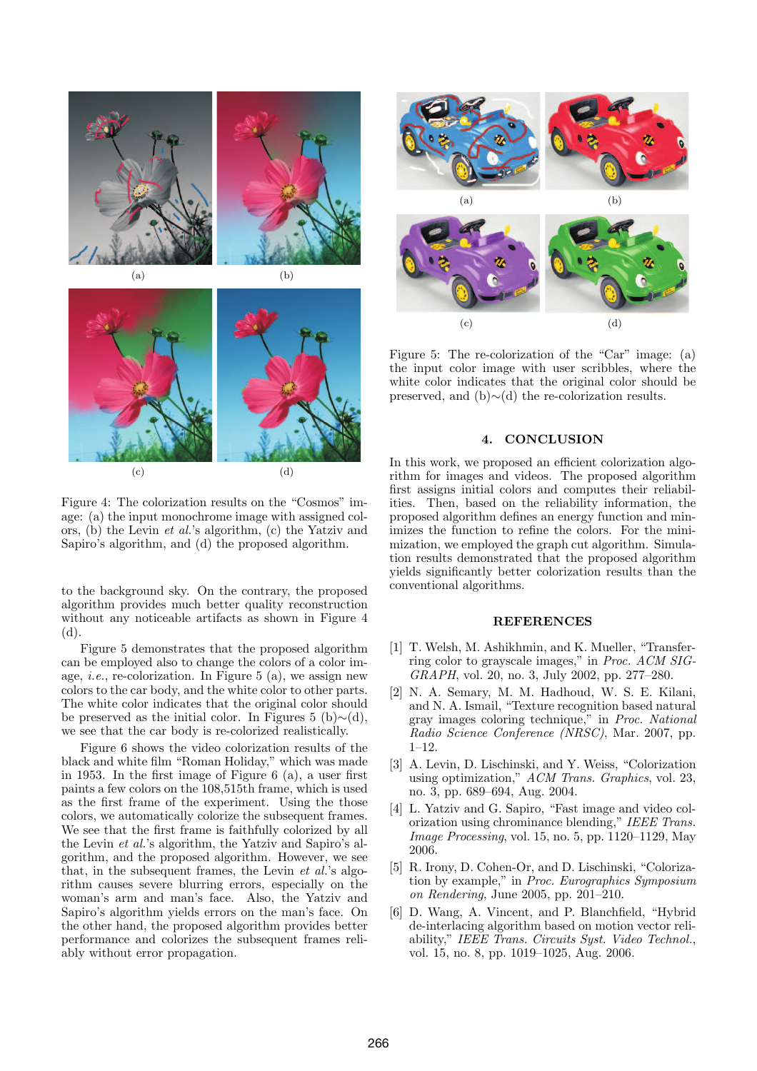

Figure 4: The colorization results on the "Cosmos" image: (a) the input monochrome image with assigned colors, (b) the Levin et al.'s algorithm, (c) the Yatziv and Sapiro's algorithm, and (d) the proposed algorithm.

to the background sky. On the contrary, the proposed algorithm provides much better quality reconstruction without any noticeable artifacts as shown in Figure 4 (d).

Figure 5 demonstrates that the proposed algorithm can be employed also to change the colors of a color image, *i.e.*, re-colorization. In Figure 5 (a), we assign new colors to the car body, and the white color to other parts. The white color indicates that the original color should be preserved as the initial color. In Figures 5 (b)∼(d), we see that the car body is re-colorized realistically.

Figure 6 shows the video colorization results of the black and white film "Roman Holiday," which was made in 1953. In the first image of Figure 6 (a), a user first paints a few colors on the 108,515th frame, which is used as the first frame of the experiment. Using the those colors, we automatically colorize the subsequent frames. We see that the first frame is faithfully colorized by all the Levin et al.'s algorithm, the Yatziv and Sapiro's algorithm, and the proposed algorithm. However, we see that, in the subsequent frames, the Levin  $et$  al.'s algorithm causes severe blurring errors, especially on the woman's arm and man's face. Also, the Yatziv and Sapiro's algorithm yields errors on the man's face. On the other hand, the proposed algorithm provides better performance and colorizes the subsequent frames reliably without error propagation.



Figure 5: The re-colorization of the "Car" image: (a) the input color image with user scribbles, where the white color indicates that the original color should be preserved, and (b)∼(d) the re-colorization results.

# **CONCLUSION**

In this work, we proposed an efficient colorization algorithm for images and videos. The proposed algorithm first assigns initial colors and computes their reliabilities. Then, based on the reliability information, the proposed algorithm defines an energy function and minimizes the function to refine the colors. For the minimization, we employed the graph cut algorithm. Simulation results demonstrated that the proposed algorithm yields significantly better colorization results than the conventional algorithms.

# **REFERENCES**

- [1] T. Welsh, M. Ashikhmin, and K. Mueller, "Transferring color to grayscale images," in Proc. ACM SIG-GRAPH, vol. 20, no. 3, July 2002, pp. 277–280.
- [2] N. A. Semary, M. M. Hadhoud, W. S. E. Kilani, and N. A. Ismail, "Texture recognition based natural gray images coloring technique," in Proc. National Radio Science Conference (NRSC), Mar. 2007, pp.  $1-12$ .
- [3] A. Levin, D. Lischinski, and Y. Weiss, "Colorization using optimization," ACM Trans. Graphics, vol. 23, no. 3, pp. 689–694, Aug. 2004.
- [4] L. Yatziv and G. Sapiro, "Fast image and video colorization using chrominance blending," IEEE Trans. Image Processing, vol. 15, no. 5, pp. 1120–1129, May 2006.
- [5] R. Irony, D. Cohen-Or, and D. Lischinski, "Colorization by example," in Proc. Eurographics Symposium on Rendering, June 2005, pp. 201–210.
- [6] D. Wang, A. Vincent, and P. Blanchfield, "Hybrid de-interlacing algorithm based on motion vector reliability," IEEE Trans. Circuits Syst. Video Technol., vol. 15, no. 8, pp. 1019–1025, Aug. 2006.